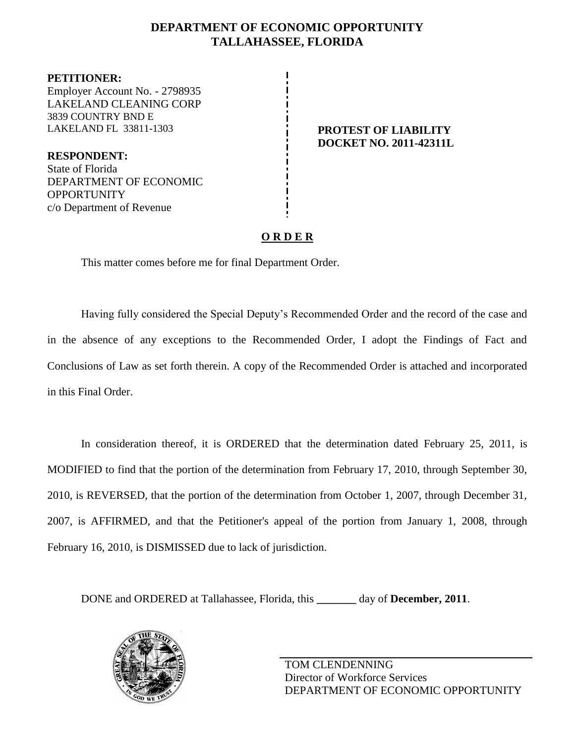### **DEPARTMENT OF ECONOMIC OPPORTUNITY TALLAHASSEE, FLORIDA**

**PETITIONER:** Employer Account No. - 2798935 LAKELAND CLEANING CORP 3839 COUNTRY BND E LAKELAND FL 33811-1303 **PROTEST OF LIABILITY**

**RESPONDENT:** State of Florida DEPARTMENT OF ECONOMIC OPPORTUNITY c/o Department of Revenue

# **DOCKET NO. 2011-42311L**

## **O R D E R**

This matter comes before me for final Department Order.

Having fully considered the Special Deputy's Recommended Order and the record of the case and in the absence of any exceptions to the Recommended Order, I adopt the Findings of Fact and Conclusions of Law as set forth therein. A copy of the Recommended Order is attached and incorporated in this Final Order.

In consideration thereof, it is ORDERED that the determination dated February 25, 2011, is MODIFIED to find that the portion of the determination from February 17, 2010, through September 30, 2010, is REVERSED, that the portion of the determination from October 1, 2007, through December 31, 2007, is AFFIRMED, and that the Petitioner's appeal of the portion from January 1, 2008, through February 16, 2010, is DISMISSED due to lack of jurisdiction.

DONE and ORDERED at Tallahassee, Florida, this **\_\_\_\_\_\_\_** day of **December, 2011**.

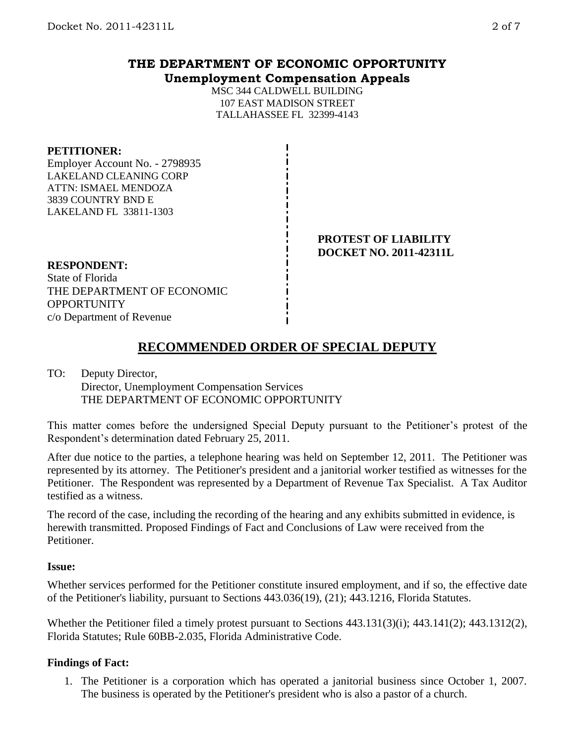# **THE DEPARTMENT OF ECONOMIC OPPORTUNITY Unemployment Compensation Appeals**

MSC 344 CALDWELL BUILDING 107 EAST MADISON STREET TALLAHASSEE FL 32399-4143

### **PETITIONER:**

Employer Account No. - 2798935 LAKELAND CLEANING CORP ATTN: ISMAEL MENDOZA 3839 COUNTRY BND E LAKELAND FL 33811-1303

> **PROTEST OF LIABILITY DOCKET NO. 2011-42311L**

### **RESPONDENT:**

State of Florida THE DEPARTMENT OF ECONOMIC **OPPORTUNITY** c/o Department of Revenue

# **RECOMMENDED ORDER OF SPECIAL DEPUTY**

### TO: Deputy Director,

Director, Unemployment Compensation Services THE DEPARTMENT OF ECONOMIC OPPORTUNITY

This matter comes before the undersigned Special Deputy pursuant to the Petitioner's protest of the Respondent's determination dated February 25, 2011.

After due notice to the parties, a telephone hearing was held on September 12, 2011. The Petitioner was represented by its attorney. The Petitioner's president and a janitorial worker testified as witnesses for the Petitioner. The Respondent was represented by a Department of Revenue Tax Specialist. A Tax Auditor testified as a witness.

The record of the case, including the recording of the hearing and any exhibits submitted in evidence, is herewith transmitted. Proposed Findings of Fact and Conclusions of Law were received from the Petitioner.

### **Issue:**

Whether services performed for the Petitioner constitute insured employment, and if so, the effective date of the Petitioner's liability, pursuant to Sections 443.036(19), (21); 443.1216, Florida Statutes.

Whether the Petitioner filed a timely protest pursuant to Sections 443.131(3)(i); 443.141(2); 443.1312(2), Florida Statutes; Rule 60BB-2.035, Florida Administrative Code.

### **Findings of Fact:**

1. The Petitioner is a corporation which has operated a janitorial business since October 1, 2007. The business is operated by the Petitioner's president who is also a pastor of a church.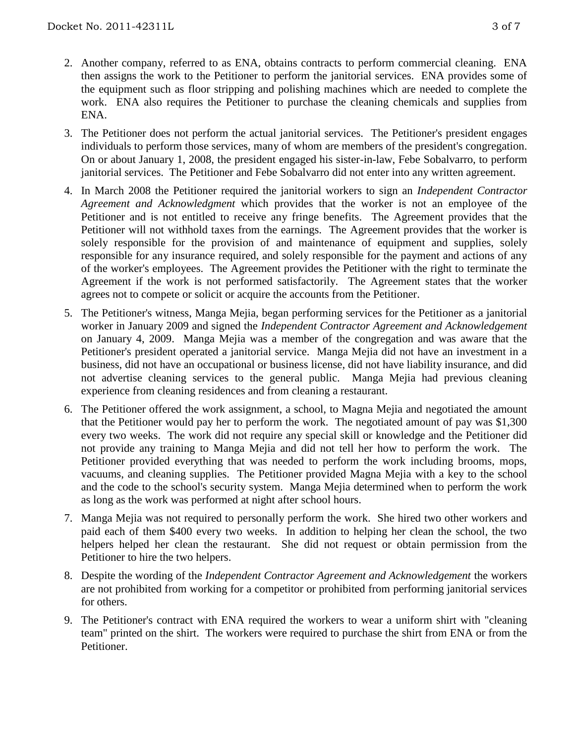- 2. Another company, referred to as ENA, obtains contracts to perform commercial cleaning. ENA then assigns the work to the Petitioner to perform the janitorial services. ENA provides some of the equipment such as floor stripping and polishing machines which are needed to complete the work. ENA also requires the Petitioner to purchase the cleaning chemicals and supplies from ENA.
- 3. The Petitioner does not perform the actual janitorial services. The Petitioner's president engages individuals to perform those services, many of whom are members of the president's congregation. On or about January 1, 2008, the president engaged his sister-in-law, Febe Sobalvarro, to perform janitorial services. The Petitioner and Febe Sobalvarro did not enter into any written agreement.
- 4. In March 2008 the Petitioner required the janitorial workers to sign an *Independent Contractor Agreement and Acknowledgment* which provides that the worker is not an employee of the Petitioner and is not entitled to receive any fringe benefits. The Agreement provides that the Petitioner will not withhold taxes from the earnings. The Agreement provides that the worker is solely responsible for the provision of and maintenance of equipment and supplies, solely responsible for any insurance required, and solely responsible for the payment and actions of any of the worker's employees. The Agreement provides the Petitioner with the right to terminate the Agreement if the work is not performed satisfactorily. The Agreement states that the worker agrees not to compete or solicit or acquire the accounts from the Petitioner.
- 5. The Petitioner's witness, Manga Mejia, began performing services for the Petitioner as a janitorial worker in January 2009 and signed the *Independent Contractor Agreement and Acknowledgement* on January 4, 2009. Manga Mejia was a member of the congregation and was aware that the Petitioner's president operated a janitorial service. Manga Mejia did not have an investment in a business, did not have an occupational or business license, did not have liability insurance, and did not advertise cleaning services to the general public. Manga Mejia had previous cleaning experience from cleaning residences and from cleaning a restaurant.
- 6. The Petitioner offered the work assignment, a school, to Magna Mejia and negotiated the amount that the Petitioner would pay her to perform the work. The negotiated amount of pay was \$1,300 every two weeks. The work did not require any special skill or knowledge and the Petitioner did not provide any training to Manga Mejia and did not tell her how to perform the work. The Petitioner provided everything that was needed to perform the work including brooms, mops, vacuums, and cleaning supplies. The Petitioner provided Magna Mejia with a key to the school and the code to the school's security system. Manga Mejia determined when to perform the work as long as the work was performed at night after school hours.
- 7. Manga Mejia was not required to personally perform the work. She hired two other workers and paid each of them \$400 every two weeks. In addition to helping her clean the school, the two helpers helped her clean the restaurant. She did not request or obtain permission from the Petitioner to hire the two helpers.
- 8. Despite the wording of the *Independent Contractor Agreement and Acknowledgement* the workers are not prohibited from working for a competitor or prohibited from performing janitorial services for others.
- 9. The Petitioner's contract with ENA required the workers to wear a uniform shirt with "cleaning team" printed on the shirt. The workers were required to purchase the shirt from ENA or from the Petitioner.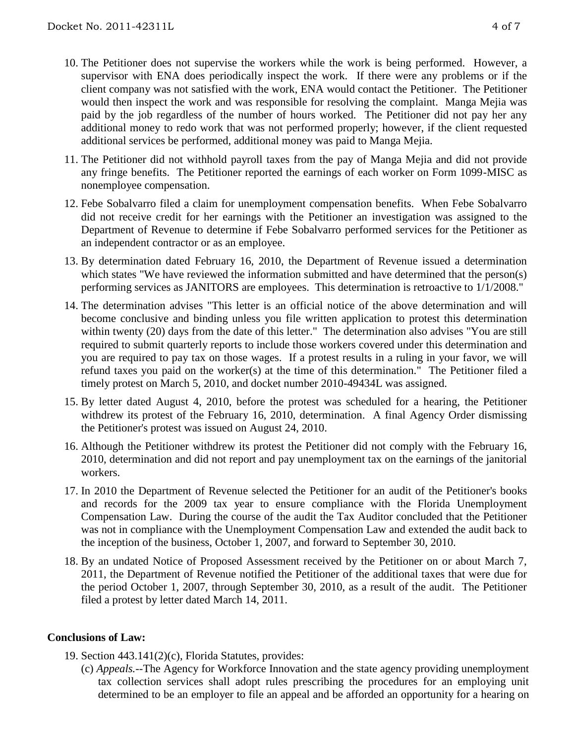- 10. The Petitioner does not supervise the workers while the work is being performed. However, a supervisor with ENA does periodically inspect the work. If there were any problems or if the client company was not satisfied with the work, ENA would contact the Petitioner. The Petitioner would then inspect the work and was responsible for resolving the complaint. Manga Mejia was paid by the job regardless of the number of hours worked. The Petitioner did not pay her any additional money to redo work that was not performed properly; however, if the client requested additional services be performed, additional money was paid to Manga Mejia.
- 11. The Petitioner did not withhold payroll taxes from the pay of Manga Mejia and did not provide any fringe benefits. The Petitioner reported the earnings of each worker on Form 1099-MISC as nonemployee compensation.
- 12. Febe Sobalvarro filed a claim for unemployment compensation benefits. When Febe Sobalvarro did not receive credit for her earnings with the Petitioner an investigation was assigned to the Department of Revenue to determine if Febe Sobalvarro performed services for the Petitioner as an independent contractor or as an employee.
- 13. By determination dated February 16, 2010, the Department of Revenue issued a determination which states "We have reviewed the information submitted and have determined that the person(s) performing services as JANITORS are employees. This determination is retroactive to 1/1/2008."
- 14. The determination advises "This letter is an official notice of the above determination and will become conclusive and binding unless you file written application to protest this determination within twenty (20) days from the date of this letter." The determination also advises "You are still required to submit quarterly reports to include those workers covered under this determination and you are required to pay tax on those wages. If a protest results in a ruling in your favor, we will refund taxes you paid on the worker(s) at the time of this determination." The Petitioner filed a timely protest on March 5, 2010, and docket number 2010-49434L was assigned.
- 15. By letter dated August 4, 2010, before the protest was scheduled for a hearing, the Petitioner withdrew its protest of the February 16, 2010, determination. A final Agency Order dismissing the Petitioner's protest was issued on August 24, 2010.
- 16. Although the Petitioner withdrew its protest the Petitioner did not comply with the February 16, 2010, determination and did not report and pay unemployment tax on the earnings of the janitorial workers.
- 17. In 2010 the Department of Revenue selected the Petitioner for an audit of the Petitioner's books and records for the 2009 tax year to ensure compliance with the Florida Unemployment Compensation Law. During the course of the audit the Tax Auditor concluded that the Petitioner was not in compliance with the Unemployment Compensation Law and extended the audit back to the inception of the business, October 1, 2007, and forward to September 30, 2010.
- 18. By an undated Notice of Proposed Assessment received by the Petitioner on or about March 7, 2011, the Department of Revenue notified the Petitioner of the additional taxes that were due for the period October 1, 2007, through September 30, 2010, as a result of the audit. The Petitioner filed a protest by letter dated March 14, 2011.

### **Conclusions of Law:**

- 19. Section 443.141(2)(c), Florida Statutes, provides:
	- (c) *Appeals.*--The Agency for Workforce Innovation and the state agency providing unemployment tax collection services shall adopt rules prescribing the procedures for an employing unit determined to be an employer to file an appeal and be afforded an opportunity for a hearing on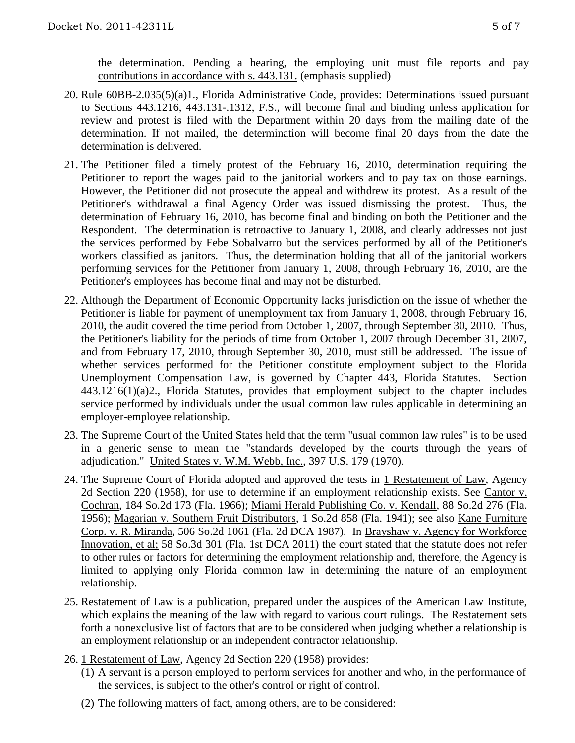- 20. Rule 60BB-2.035(5)(a)1., Florida Administrative Code, provides: Determinations issued pursuant to Sections 443.1216, 443.131-.1312, F.S., will become final and binding unless application for review and protest is filed with the Department within 20 days from the mailing date of the determination. If not mailed, the determination will become final 20 days from the date the determination is delivered.
- 21. The Petitioner filed a timely protest of the February 16, 2010, determination requiring the Petitioner to report the wages paid to the janitorial workers and to pay tax on those earnings. However, the Petitioner did not prosecute the appeal and withdrew its protest. As a result of the Petitioner's withdrawal a final Agency Order was issued dismissing the protest. Thus, the determination of February 16, 2010, has become final and binding on both the Petitioner and the Respondent. The determination is retroactive to January 1, 2008, and clearly addresses not just the services performed by Febe Sobalvarro but the services performed by all of the Petitioner's workers classified as janitors. Thus, the determination holding that all of the janitorial workers performing services for the Petitioner from January 1, 2008, through February 16, 2010, are the Petitioner's employees has become final and may not be disturbed.
- 22. Although the Department of Economic Opportunity lacks jurisdiction on the issue of whether the Petitioner is liable for payment of unemployment tax from January 1, 2008, through February 16, 2010, the audit covered the time period from October 1, 2007, through September 30, 2010. Thus, the Petitioner's liability for the periods of time from October 1, 2007 through December 31, 2007, and from February 17, 2010, through September 30, 2010, must still be addressed. The issue of whether services performed for the Petitioner constitute employment subject to the Florida Unemployment Compensation Law, is governed by Chapter 443, Florida Statutes. Section 443.1216(1)(a)2., Florida Statutes, provides that employment subject to the chapter includes service performed by individuals under the usual common law rules applicable in determining an employer-employee relationship.
- 23. The Supreme Court of the United States held that the term "usual common law rules" is to be used in a generic sense to mean the "standards developed by the courts through the years of adjudication." United States v. W.M. Webb, Inc., 397 U.S. 179 (1970).
- 24. The Supreme Court of Florida adopted and approved the tests in 1 Restatement of Law, Agency 2d Section 220 (1958), for use to determine if an employment relationship exists. See Cantor v. Cochran, 184 So.2d 173 (Fla. 1966); Miami Herald Publishing Co. v. Kendall, 88 So.2d 276 (Fla. 1956); Magarian v. Southern Fruit Distributors, 1 So.2d 858 (Fla. 1941); see also Kane Furniture Corp. v. R. Miranda, 506 So.2d 1061 (Fla. 2d DCA 1987). In Brayshaw v. Agency for Workforce Innovation, et al; 58 So.3d 301 (Fla. 1st DCA 2011) the court stated that the statute does not refer to other rules or factors for determining the employment relationship and, therefore, the Agency is limited to applying only Florida common law in determining the nature of an employment relationship.
- 25. Restatement of Law is a publication, prepared under the auspices of the American Law Institute, which explains the meaning of the law with regard to various court rulings. The Restatement sets forth a nonexclusive list of factors that are to be considered when judging whether a relationship is an employment relationship or an independent contractor relationship.
- 26. 1 Restatement of Law, Agency 2d Section 220 (1958) provides:
	- $(1)$  A servant is a person employed to perform services for another and who, in the performance of the services, is subject to the other's control or right of control.
	- (2) The following matters of fact, among others, are to be considered: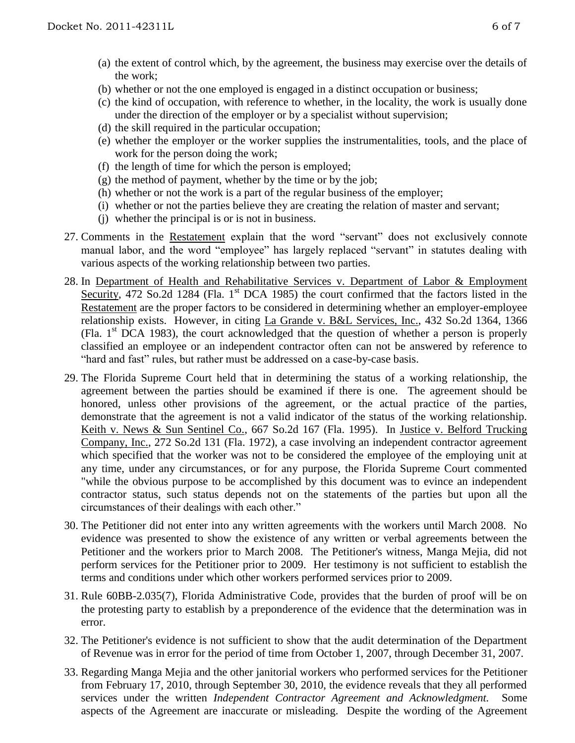- (a) the extent of control which, by the agreement, the business may exercise over the details of the work;
- (b) whether or not the one employed is engaged in a distinct occupation or business;
- (c) the kind of occupation, with reference to whether, in the locality, the work is usually done under the direction of the employer or by a specialist without supervision;
- (d) the skill required in the particular occupation;
- (e) whether the employer or the worker supplies the instrumentalities, tools, and the place of work for the person doing the work;
- (f) the length of time for which the person is employed;
- $(g)$  the method of payment, whether by the time or by the job;
- (h) whether or not the work is a part of the regular business of the employer;
- (i) whether or not the parties believe they are creating the relation of master and servant;
- (j) whether the principal is or is not in business.
- 27. Comments in the Restatement explain that the word "servant" does not exclusively connote manual labor, and the word "employee" has largely replaced "servant" in statutes dealing with various aspects of the working relationship between two parties.
- 28. In Department of Health and Rehabilitative Services v. Department of Labor & Employment Security, 472 So.2d 1284 (Fla. 1<sup>st</sup> DCA 1985) the court confirmed that the factors listed in the Restatement are the proper factors to be considered in determining whether an employer-employee relationship exists. However, in citing La Grande v. B&L Services, Inc., 432 So.2d 1364, 1366 (Fla. 1st DCA 1983), the court acknowledged that the question of whether a person is properly classified an employee or an independent contractor often can not be answered by reference to "hard and fast" rules, but rather must be addressed on a case-by-case basis.
- 29. The Florida Supreme Court held that in determining the status of a working relationship, the agreement between the parties should be examined if there is one. The agreement should be honored, unless other provisions of the agreement, or the actual practice of the parties, demonstrate that the agreement is not a valid indicator of the status of the working relationship. Keith v. News & Sun Sentinel Co., 667 So.2d 167 (Fla. 1995). In Justice v. Belford Trucking Company, Inc., 272 So.2d 131 (Fla. 1972), a case involving an independent contractor agreement which specified that the worker was not to be considered the employee of the employing unit at any time, under any circumstances, or for any purpose, the Florida Supreme Court commented "while the obvious purpose to be accomplished by this document was to evince an independent contractor status, such status depends not on the statements of the parties but upon all the circumstances of their dealings with each other."
- 30. The Petitioner did not enter into any written agreements with the workers until March 2008. No evidence was presented to show the existence of any written or verbal agreements between the Petitioner and the workers prior to March 2008. The Petitioner's witness, Manga Mejia, did not perform services for the Petitioner prior to 2009. Her testimony is not sufficient to establish the terms and conditions under which other workers performed services prior to 2009.
- 31. Rule 60BB-2.035(7), Florida Administrative Code, provides that the burden of proof will be on the protesting party to establish by a preponderence of the evidence that the determination was in error.
- 32. The Petitioner's evidence is not sufficient to show that the audit determination of the Department of Revenue was in error for the period of time from October 1, 2007, through December 31, 2007.
- 33. Regarding Manga Mejia and the other janitorial workers who performed services for the Petitioner from February 17, 2010, through September 30, 2010, the evidence reveals that they all performed services under the written *Independent Contractor Agreement and Acknowledgment.* Some aspects of the Agreement are inaccurate or misleading. Despite the wording of the Agreement